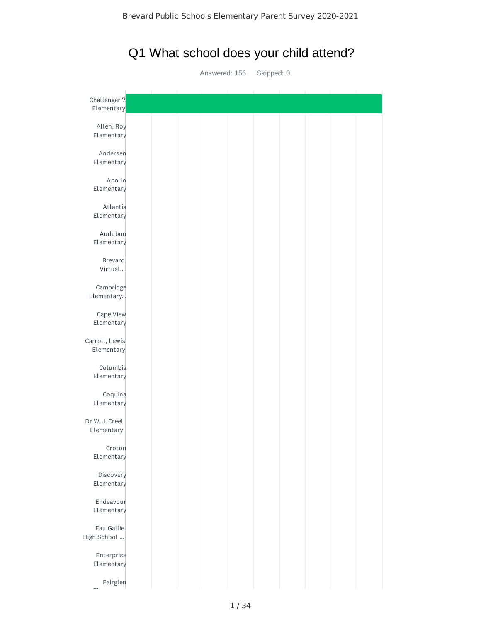# Q1 What school does your child attend?

Answered: 156 Skipped: 0

| Challenger 7<br>Elementary   |  |  |  |  |  |
|------------------------------|--|--|--|--|--|
| Allen, Roy<br>Elementary     |  |  |  |  |  |
| Andersen<br>Elementary       |  |  |  |  |  |
| Apollo<br>Elementary         |  |  |  |  |  |
| Atlantis<br>Elementary       |  |  |  |  |  |
| Audubon<br>Elementary        |  |  |  |  |  |
| Brevard<br>Virtual           |  |  |  |  |  |
| Cambridge<br>Elementary      |  |  |  |  |  |
| Cape View<br>Elementary      |  |  |  |  |  |
| Carroll, Lewis<br>Elementary |  |  |  |  |  |
| Columbia<br>Elementary       |  |  |  |  |  |
| Coquina<br>Elementary        |  |  |  |  |  |
| Dr W. J. Creel<br>Elementary |  |  |  |  |  |
| Croton<br>Elementary         |  |  |  |  |  |
| Discovery<br>Elementary      |  |  |  |  |  |
| Endeavour<br>Elementary      |  |  |  |  |  |
| Eau Gallie<br>High School    |  |  |  |  |  |
| Enterprise<br>Elementary     |  |  |  |  |  |
| Fairglen                     |  |  |  |  |  |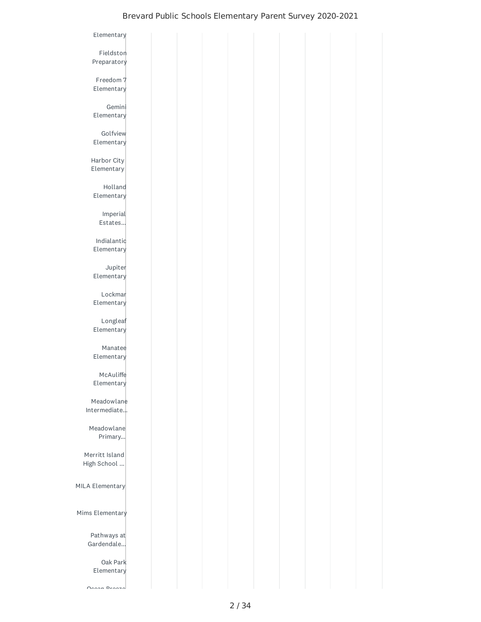| Elementary                 |  |  |  |  |
|----------------------------|--|--|--|--|
| Fieldston                  |  |  |  |  |
| Preparatory                |  |  |  |  |
|                            |  |  |  |  |
| Freedom 7                  |  |  |  |  |
| Elementary                 |  |  |  |  |
| Gemini                     |  |  |  |  |
| Elementary                 |  |  |  |  |
|                            |  |  |  |  |
| Golfview<br>Elementary     |  |  |  |  |
|                            |  |  |  |  |
| Harbor City                |  |  |  |  |
| Elementary                 |  |  |  |  |
| Holland                    |  |  |  |  |
| Elementary                 |  |  |  |  |
|                            |  |  |  |  |
| Imperial<br>Estates        |  |  |  |  |
|                            |  |  |  |  |
| Indialantic                |  |  |  |  |
| Elementary                 |  |  |  |  |
| Jupiter                    |  |  |  |  |
| Elementary                 |  |  |  |  |
| Lockmar                    |  |  |  |  |
| Elementary                 |  |  |  |  |
|                            |  |  |  |  |
| Longleaf                   |  |  |  |  |
| Elementary                 |  |  |  |  |
| Manatee                    |  |  |  |  |
| Elementary                 |  |  |  |  |
| McAuliffe                  |  |  |  |  |
| Elementary                 |  |  |  |  |
|                            |  |  |  |  |
| Meadowlane<br>Intermediate |  |  |  |  |
|                            |  |  |  |  |
| Meadowlane                 |  |  |  |  |
| Primary                    |  |  |  |  |
| Merritt Island             |  |  |  |  |
| High School                |  |  |  |  |
|                            |  |  |  |  |
| MILA Elementary            |  |  |  |  |
|                            |  |  |  |  |
| Mims Elementary            |  |  |  |  |
|                            |  |  |  |  |
| Pathways at                |  |  |  |  |
| Gardendale                 |  |  |  |  |
|                            |  |  |  |  |
| Oak Park<br>Elementary     |  |  |  |  |
|                            |  |  |  |  |
| $Ononon Dnonon$            |  |  |  |  |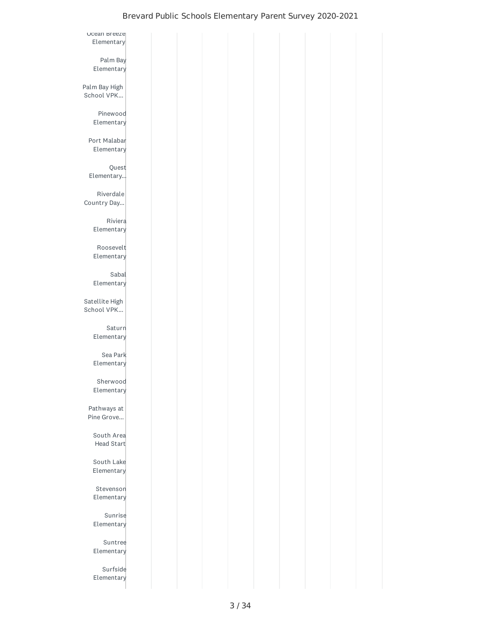| Ocean breeze   |  |  |  |  |
|----------------|--|--|--|--|
| Elementary     |  |  |  |  |
|                |  |  |  |  |
| Palm Bay       |  |  |  |  |
| Elementary     |  |  |  |  |
|                |  |  |  |  |
| Palm Bay High  |  |  |  |  |
| School VPK     |  |  |  |  |
|                |  |  |  |  |
| Pinewood       |  |  |  |  |
| Elementary     |  |  |  |  |
|                |  |  |  |  |
| Port Malabar   |  |  |  |  |
| Elementary     |  |  |  |  |
|                |  |  |  |  |
| Quest          |  |  |  |  |
| Elementary     |  |  |  |  |
|                |  |  |  |  |
| Riverdale      |  |  |  |  |
| Country Day    |  |  |  |  |
|                |  |  |  |  |
| Riviera        |  |  |  |  |
| Elementary     |  |  |  |  |
|                |  |  |  |  |
| Roosevelt      |  |  |  |  |
|                |  |  |  |  |
| Elementary     |  |  |  |  |
|                |  |  |  |  |
| Sabal          |  |  |  |  |
| Elementary     |  |  |  |  |
|                |  |  |  |  |
| Satellite High |  |  |  |  |
| School VPK     |  |  |  |  |
|                |  |  |  |  |
| Saturn         |  |  |  |  |
| Elementary     |  |  |  |  |
|                |  |  |  |  |
| Sea Park       |  |  |  |  |
| Elementary     |  |  |  |  |
|                |  |  |  |  |
| Sherwood       |  |  |  |  |
| Elementary     |  |  |  |  |
|                |  |  |  |  |
| Pathways at    |  |  |  |  |
| Pine Grove     |  |  |  |  |
|                |  |  |  |  |
| South Area     |  |  |  |  |
| Head Start     |  |  |  |  |
|                |  |  |  |  |
| South Lake     |  |  |  |  |
| Elementary     |  |  |  |  |
|                |  |  |  |  |
| Stevenson      |  |  |  |  |
| Elementary     |  |  |  |  |
|                |  |  |  |  |
| Sunrise        |  |  |  |  |
| Elementary     |  |  |  |  |
|                |  |  |  |  |
| Suntree        |  |  |  |  |
| Elementary     |  |  |  |  |
|                |  |  |  |  |
| Surfside       |  |  |  |  |
| Elementary     |  |  |  |  |
|                |  |  |  |  |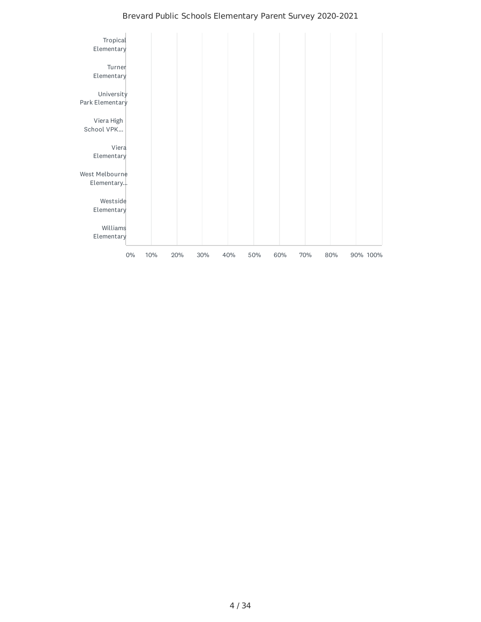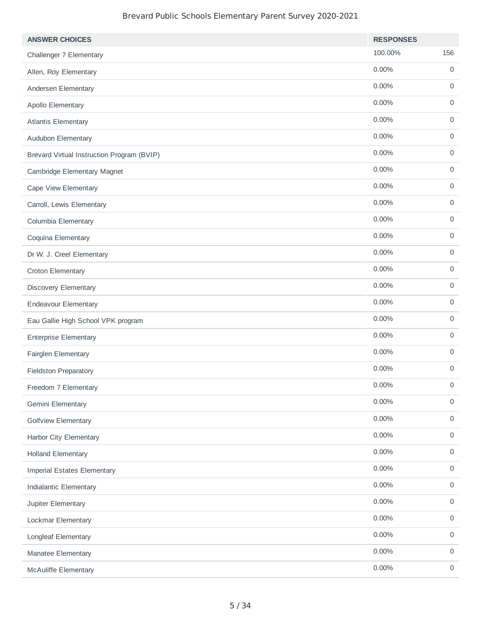| <b>ANSWER CHOICES</b>                      | <b>RESPONSES</b> |                     |
|--------------------------------------------|------------------|---------------------|
| Challenger 7 Elementary                    | 100.00%          | 156                 |
| Allen, Roy Elementary                      | 0.00%            | $\mathbf 0$         |
| Andersen Elementary                        | 0.00%            | $\mathsf{O}$        |
| Apollo Elementary                          | 0.00%            | $\mathsf{O}$        |
| <b>Atlantis Elementary</b>                 | 0.00%            | $\mathsf{O}$        |
| Audubon Elementary                         | 0.00%            | $\mathsf{O}$        |
| Brevard Virtual Instruction Program (BVIP) | 0.00%            | 0                   |
| Cambridge Elementary Magnet                | 0.00%            | $\mathsf{O}$        |
| Cape View Elementary                       | 0.00%            | 0                   |
| Carroll, Lewis Elementary                  | 0.00%            | $\mathbf 0$         |
| Columbia Elementary                        | 0.00%            | 0                   |
| Coquina Elementary                         | 0.00%            | $\mathsf{O}\xspace$ |
| Dr W. J. Creel Elementary                  | 0.00%            | $\mathsf{O}$        |
| Croton Elementary                          | 0.00%            | $\mathsf{O}$        |
| Discovery Elementary                       | 0.00%            | $\mathsf{O}$        |
| <b>Endeavour Elementary</b>                | 0.00%            | $\mathsf{O}\xspace$ |
| Eau Gallie High School VPK program         | 0.00%            | $\mathsf{O}$        |
| <b>Enterprise Elementary</b>               | 0.00%            | $\mathbf 0$         |
| Fairglen Elementary                        | 0.00%            | 0                   |
| <b>Fieldston Preparatory</b>               | 0.00%            | $\mathbf 0$         |
| Freedom 7 Elementary                       | 0.00%            | $\mathsf{O}\xspace$ |
| Gemini Elementary                          | $0.00\%$         | $\mathsf{O}\xspace$ |
| <b>Golfview Elementary</b>                 | $0.00\%$         | $\mathbf 0$         |
| Harbor City Elementary                     | $0.00\%$         | $\mathsf{O}\xspace$ |
| <b>Holland Elementary</b>                  | $0.00\%$         | $\mathbf 0$         |
| <b>Imperial Estates Elementary</b>         | $0.00\%$         | $\mathsf{O}\xspace$ |
| <b>Indialantic Elementary</b>              | 0.00%            | $\mathbf 0$         |
| Jupiter Elementary                         | $0.00\%$         | $\mathbf 0$         |
| Lockmar Elementary                         | $0.00\%$         | $\mathsf{O}$        |
| Longleaf Elementary                        | $0.00\%$         | $\mathsf{O}\xspace$ |
| Manatee Elementary                         | $0.00\%$         | $\mathbf 0$         |
| <b>McAuliffe Elementary</b>                | $0.00\%$         | $\mathsf{O}\xspace$ |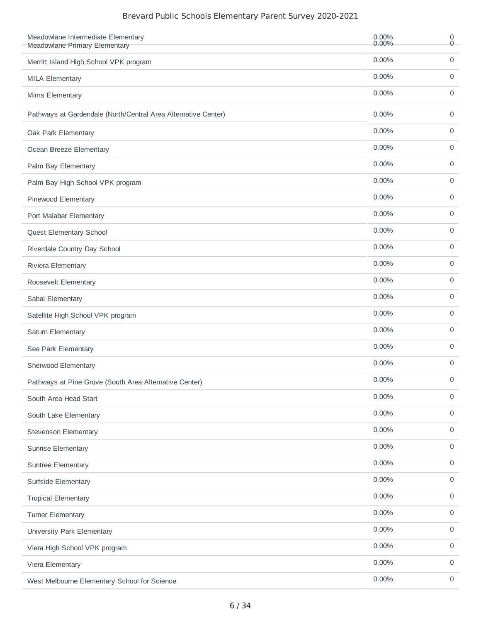| Meadowlane Intermediate Elementary<br>Meadowlane Primary Elementary | 0.00%<br>0.00% | 0<br>$\overline{0}$ |
|---------------------------------------------------------------------|----------------|---------------------|
| Merritt Island High School VPK program                              | 0.00%          | 0                   |
| <b>MILA Elementary</b>                                              | 0.00%          | 0                   |
| Mims Elementary                                                     | 0.00%          | 0                   |
| Pathways at Gardendale (North/Central Area Alternative Center)      | 0.00%          | 0                   |
| Oak Park Elementary                                                 | 0.00%          | 0                   |
| Ocean Breeze Elementary                                             | 0.00%          | 0                   |
| Palm Bay Elementary                                                 | 0.00%          | 0                   |
| Palm Bay High School VPK program                                    | 0.00%          | 0                   |
| Pinewood Elementary                                                 | $0.00\%$       | 0                   |
| Port Malabar Elementary                                             | 0.00%          | 0                   |
| Quest Elementary School                                             | 0.00%          | 0                   |
| Riverdale Country Day School                                        | 0.00%          | 0                   |
| Riviera Elementary                                                  | 0.00%          | 0                   |
| Roosevelt Elementary                                                | 0.00%          | 0                   |
| Sabal Elementary                                                    | 0.00%          | 0                   |
| Satellite High School VPK program                                   | 0.00%          | 0                   |
| Saturn Elementary                                                   | 0.00%          | 0                   |
| Sea Park Elementary                                                 | 0.00%          | 0                   |
| Sherwood Elementary                                                 | 0.00%          | 0                   |
| Pathways at Pine Grove (South Area Alternative Center)              | 0.00%          | 0                   |
| South Area Head Start                                               | 0.00%          | 0                   |
| South Lake Elementary                                               | 0.00%          | 0                   |
| <b>Stevenson Elementary</b>                                         | 0.00%          | 0                   |
| <b>Sunrise Elementary</b>                                           | 0.00%          | $\mathsf{O}\xspace$ |
| Suntree Elementary                                                  | 0.00%          | 0                   |
| Surfside Elementary                                                 | 0.00%          | $\mathsf{O}\xspace$ |
| <b>Tropical Elementary</b>                                          | 0.00%          | $\mathsf{O}\xspace$ |
| <b>Turner Elementary</b>                                            | 0.00%          | 0                   |
| University Park Elementary                                          | 0.00%          | 0                   |
| Viera High School VPK program                                       | 0.00%          | 0                   |
| Viera Elementary                                                    | 0.00%          | 0                   |
| West Melbourne Elementary School for Science                        | 0.00%          | 0                   |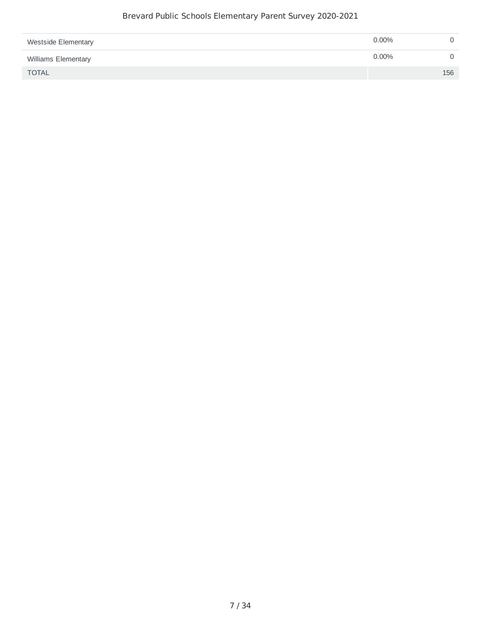| <b>Westside Elementary</b> | $0.00\%$ |     |
|----------------------------|----------|-----|
| Williams Elementary        | $0.00\%$ |     |
| <b>TOTAL</b>               |          | 156 |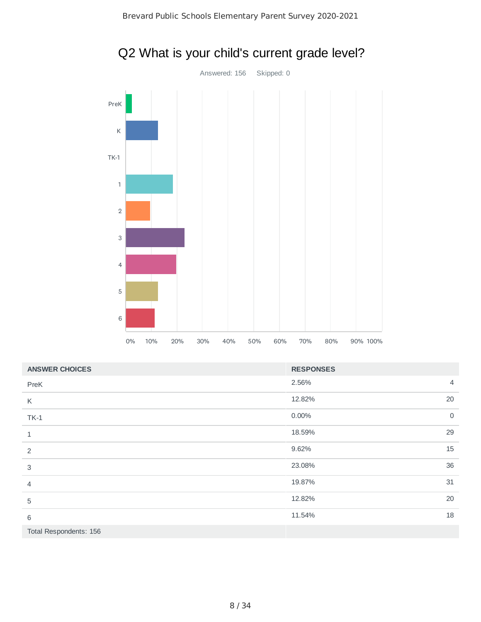

# Q2 What is your child's current grade level?

| <b>ANSWER CHOICES</b>  | <b>RESPONSES</b> |                |
|------------------------|------------------|----------------|
| PreK                   | 2.56%            | $\overline{4}$ |
| K                      | 12.82%           | 20             |
| $TK-1$                 | 0.00%            | $\overline{0}$ |
| 1                      | 18.59%           | 29             |
| 2                      | 9.62%            | 15             |
| 3                      | 23.08%           | 36             |
| 4                      | 19.87%           | 31             |
| 5                      | 12.82%           | 20             |
| 6                      | 11.54%           | 18             |
| Total Respondents: 156 |                  |                |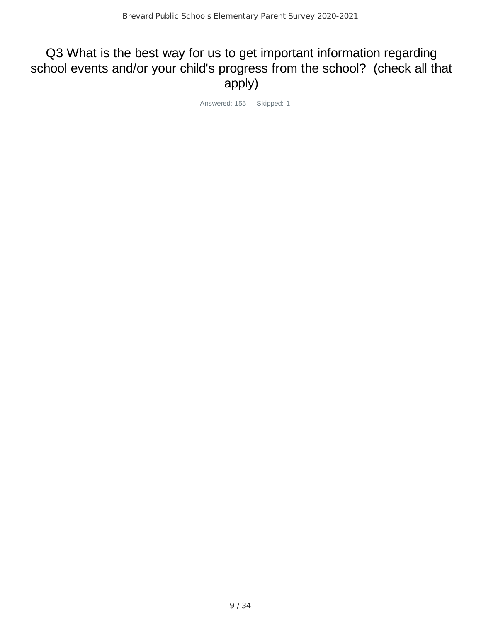# Q3 What is the best way for us to get important information regarding school events and/or your child's progress from the school? (check all that apply)

Answered: 155 Skipped: 1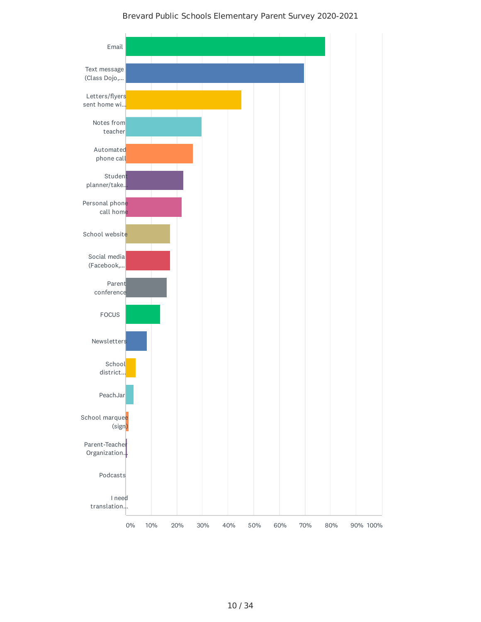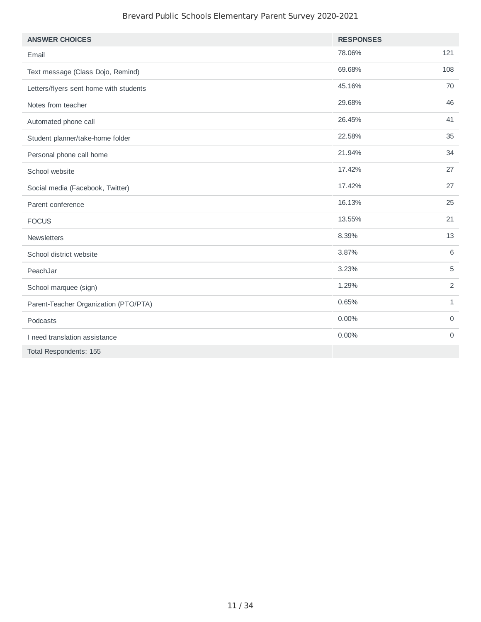| <b>ANSWER CHOICES</b>                  | <b>RESPONSES</b> |                |
|----------------------------------------|------------------|----------------|
| Email                                  | 78.06%           | 121            |
| Text message (Class Dojo, Remind)      | 69.68%           | 108            |
| Letters/flyers sent home with students | 45.16%           | 70             |
| Notes from teacher                     | 29.68%           | 46             |
| Automated phone call                   | 26.45%           | 41             |
| Student planner/take-home folder       | 22.58%           | 35             |
| Personal phone call home               | 21.94%           | 34             |
| School website                         | 17.42%           | 27             |
| Social media (Facebook, Twitter)       | 17.42%           | 27             |
| Parent conference                      | 16.13%           | 25             |
| <b>FOCUS</b>                           | 13.55%           | 21             |
| Newsletters                            | 8.39%            | 13             |
| School district website                | 3.87%            | 6              |
| PeachJar                               | 3.23%            | 5              |
| School marquee (sign)                  | 1.29%            | 2              |
| Parent-Teacher Organization (PTO/PTA)  | 0.65%            | $\mathbf{1}$   |
| Podcasts                               | 0.00%            | $\mathbf 0$    |
| I need translation assistance          | 0.00%            | $\overline{0}$ |
| Total Respondents: 155                 |                  |                |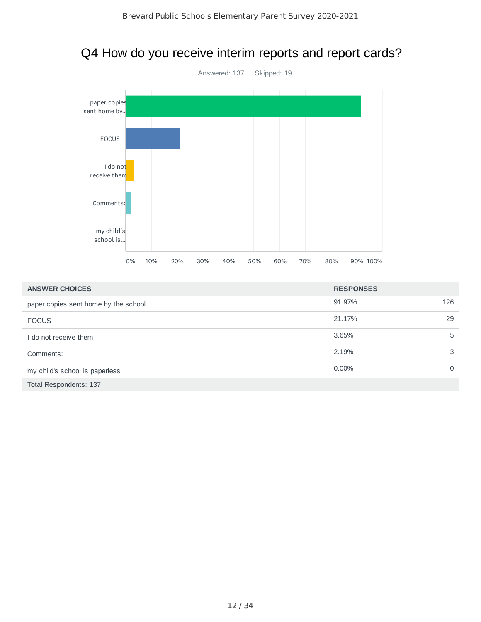### Q4 How do you receive interim reports and report cards?



| <b>ANSWER CHOICES</b>                | <b>RESPONSES</b> |          |
|--------------------------------------|------------------|----------|
| paper copies sent home by the school | 91.97%           | 126      |
| <b>FOCUS</b>                         | 21.17%           | 29       |
| I do not receive them                | 3.65%            | 5        |
| Comments:                            | 2.19%            | 3        |
| my child's school is paperless       | $0.00\%$         | $\Omega$ |
| Total Respondents: 137               |                  |          |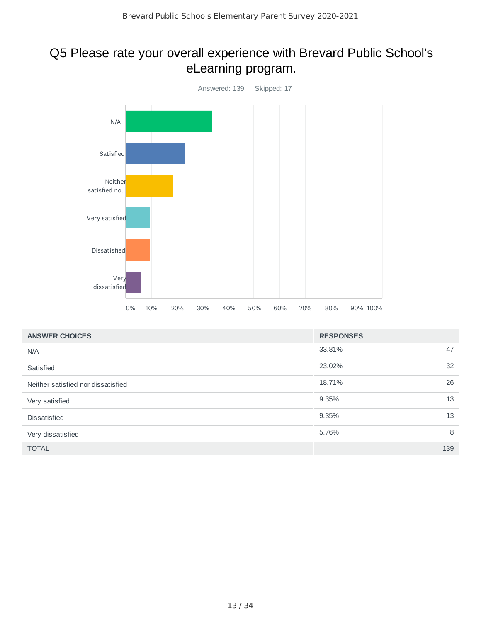### Q5 Please rate your overall experience with Brevard Public School's eLearning program.



| <b>ANSWER CHOICES</b>              | <b>RESPONSES</b> |     |
|------------------------------------|------------------|-----|
| N/A                                | 33.81%           | 47  |
| Satisfied                          | 23.02%           | 32  |
| Neither satisfied nor dissatisfied | 18.71%           | 26  |
| Very satisfied                     | 9.35%            | 13  |
| <b>Dissatisfied</b>                | 9.35%            | 13  |
| Very dissatisfied                  | 5.76%            | 8   |
| <b>TOTAL</b>                       |                  | 139 |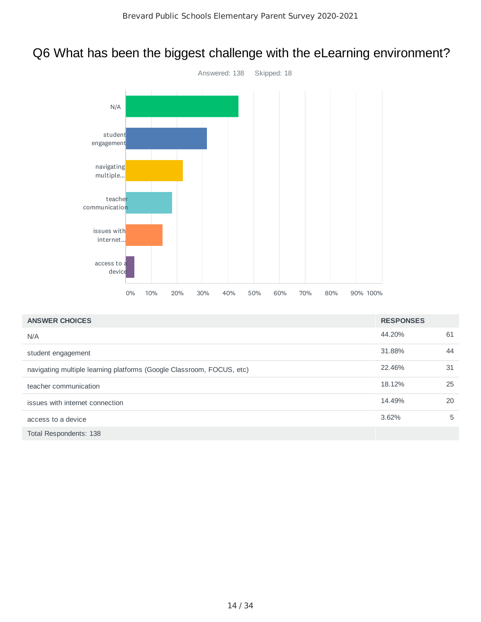# Q6 What has been the biggest challenge with the eLearning environment?



| <b>ANSWER CHOICES</b>                                                 | <b>RESPONSES</b> |    |
|-----------------------------------------------------------------------|------------------|----|
| N/A                                                                   | 44.20%           | 61 |
| student engagement                                                    | 31.88%           | 44 |
| navigating multiple learning platforms (Google Classroom, FOCUS, etc) | 22.46%           | 31 |
| teacher communication                                                 | 18.12%           | 25 |
| issues with internet connection                                       | 14.49%           | 20 |
| access to a device                                                    | 3.62%            | 5  |
| Total Respondents: 138                                                |                  |    |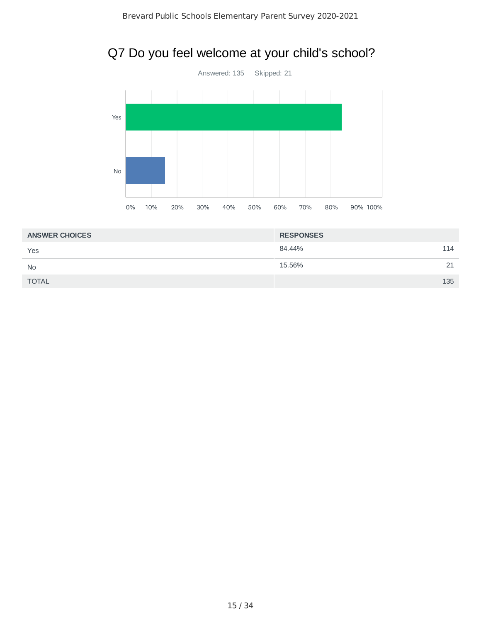# Q7 Do you feel welcome at your child's school?



| <b>ANSWER CHOICES</b> | <b>RESPONSES</b> |     |
|-----------------------|------------------|-----|
| Yes                   | 84.44%           | 114 |
| <b>No</b>             | 15.56%           | 21  |
| <b>TOTAL</b>          |                  | 135 |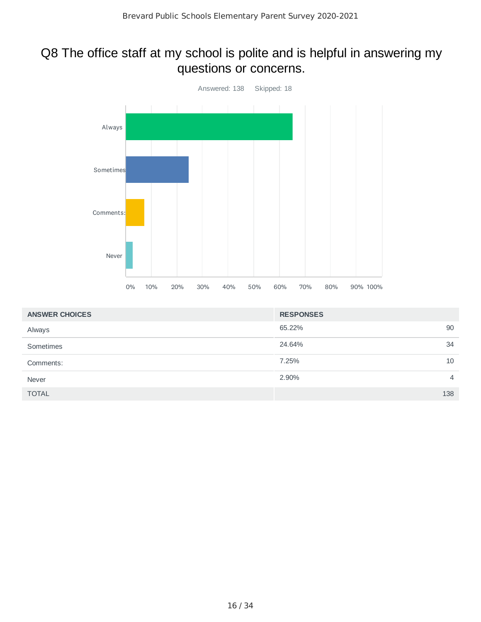### Q8 The office staff at my school is polite and is helpful in answering my questions or concerns.



| <b>ANSWER CHOICES</b> | <b>RESPONSES</b> |                |
|-----------------------|------------------|----------------|
| Always                | 65.22%           | 90             |
| Sometimes             | 24.64%           | 34             |
| Comments:             | 7.25%            | 10             |
| Never                 | 2.90%            | $\overline{4}$ |
| <b>TOTAL</b>          |                  | 138            |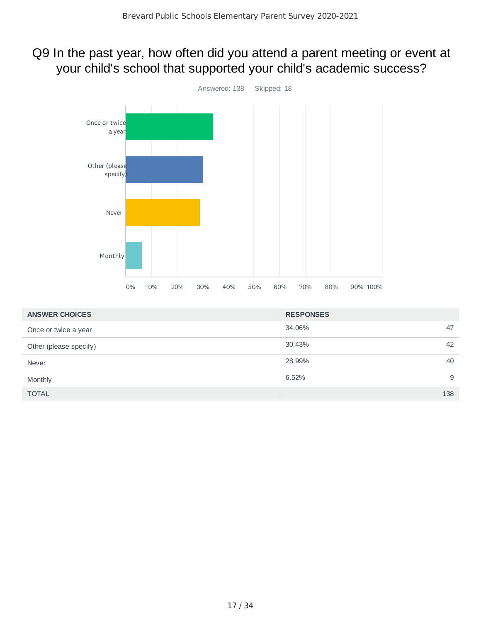# Q9 In the past year, how often did you attend a parent meeting or event at your child's school that supported your child's academic success?



| <b>ANSWER CHOICES</b>  | <b>RESPONSES</b> |     |
|------------------------|------------------|-----|
| Once or twice a year   | 34.06%           | 47  |
| Other (please specify) | 30.43%           | 42  |
| Never                  | 28.99%           | 40  |
| Monthly                | 6.52%            | 9   |
| <b>TOTAL</b>           |                  | 138 |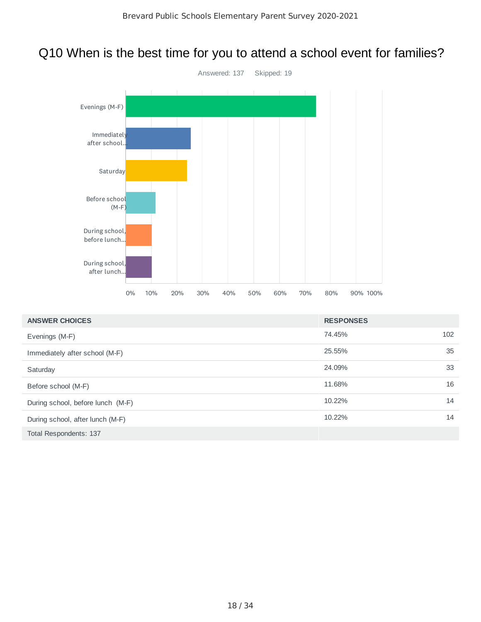# Q10 When is the best time for you to attend a school event for families?



| <b>ANSWER CHOICES</b>             | <b>RESPONSES</b> |     |
|-----------------------------------|------------------|-----|
| Evenings (M-F)                    | 74.45%           | 102 |
| Immediately after school (M-F)    | 25.55%           | 35  |
| Saturday                          | 24.09%           | 33  |
| Before school (M-F)               | 11.68%           | 16  |
| During school, before lunch (M-F) | 10.22%           | 14  |
| During school, after lunch (M-F)  | 10.22%           | 14  |
| Total Respondents: 137            |                  |     |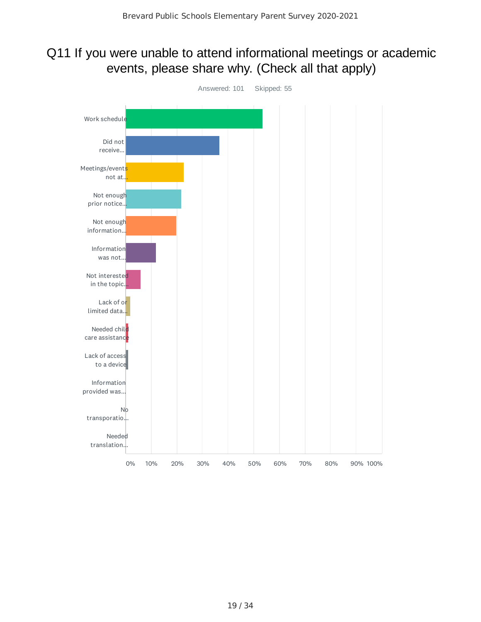### Q11 If you were unable to attend informational meetings or academic events, please share why. (Check all that apply)

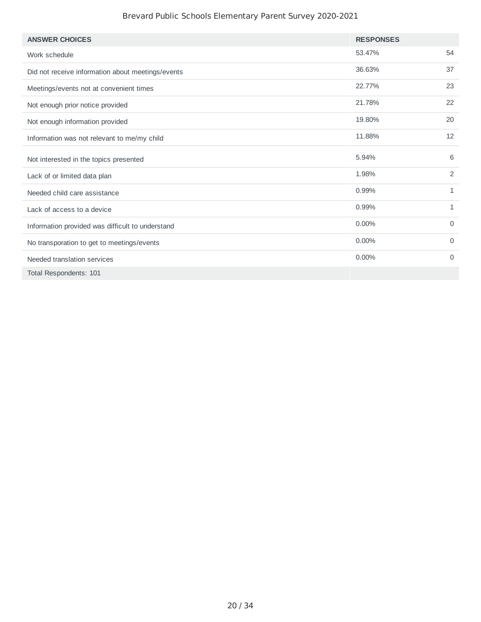| <b>ANSWER CHOICES</b>                             | <b>RESPONSES</b> |                |
|---------------------------------------------------|------------------|----------------|
| Work schedule                                     | 53.47%           | 54             |
| Did not receive information about meetings/events | 36.63%           | 37             |
| Meetings/events not at convenient times           | 22.77%           | 23             |
| Not enough prior notice provided                  | 21.78%           | 22             |
| Not enough information provided                   | 19.80%           | 20             |
| Information was not relevant to me/my child       | 11.88%           | 12             |
| Not interested in the topics presented            | 5.94%            | 6              |
| Lack of or limited data plan                      | 1.98%            | $\overline{2}$ |
| Needed child care assistance                      | 0.99%            | 1              |
| Lack of access to a device                        | 0.99%            | $\mathbf{1}$   |
| Information provided was difficult to understand  | $0.00\%$         | 0              |
| No transporation to get to meetings/events        | 0.00%            | 0              |
| Needed translation services                       | $0.00\%$         | 0              |
| Total Respondents: 101                            |                  |                |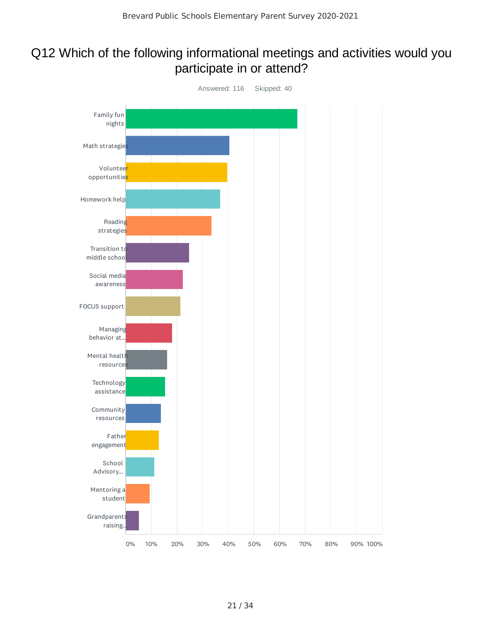### Q12 Which of the following informational meetings and activities would you participate in or attend?

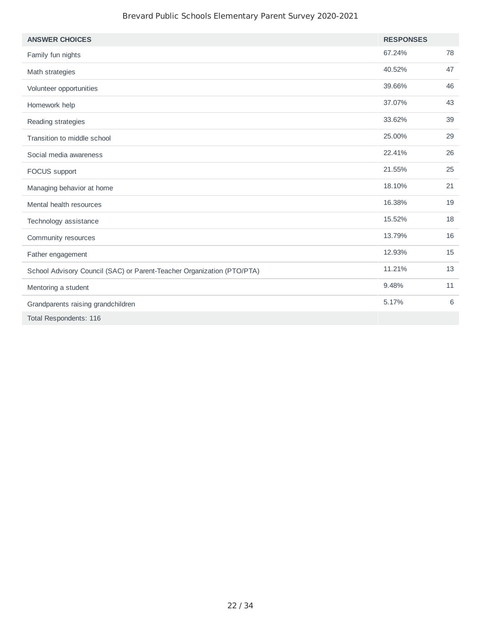| <b>ANSWER CHOICES</b>                                                  | <b>RESPONSES</b> |    |
|------------------------------------------------------------------------|------------------|----|
| Family fun nights                                                      | 67.24%           | 78 |
| Math strategies                                                        | 40.52%           | 47 |
| Volunteer opportunities                                                | 39.66%           | 46 |
| Homework help                                                          | 37.07%           | 43 |
| Reading strategies                                                     | 33.62%           | 39 |
| Transition to middle school                                            | 25.00%           | 29 |
| Social media awareness                                                 | 22.41%           | 26 |
| FOCUS support                                                          | 21.55%           | 25 |
| Managing behavior at home                                              | 18.10%           | 21 |
| Mental health resources                                                | 16.38%           | 19 |
| Technology assistance                                                  | 15.52%           | 18 |
| Community resources                                                    | 13.79%           | 16 |
| Father engagement                                                      | 12.93%           | 15 |
| School Advisory Council (SAC) or Parent-Teacher Organization (PTO/PTA) | 11.21%           | 13 |
| Mentoring a student                                                    | 9.48%            | 11 |
| Grandparents raising grandchildren                                     | 5.17%            | 6  |
| Total Respondents: 116                                                 |                  |    |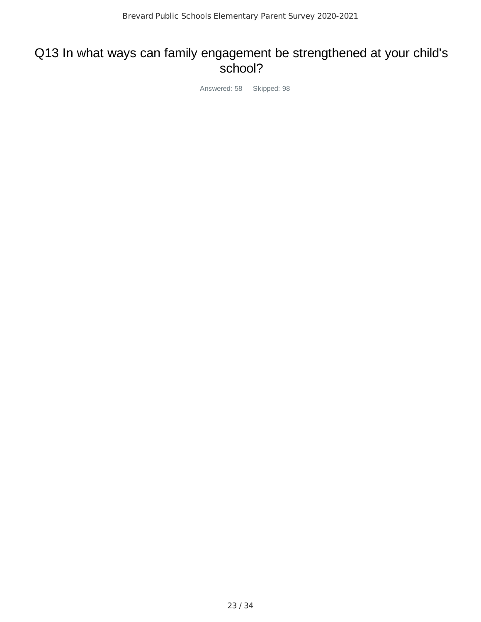#### Q13 In what ways can family engagement be strengthened at your child's school?

Answered: 58 Skipped: 98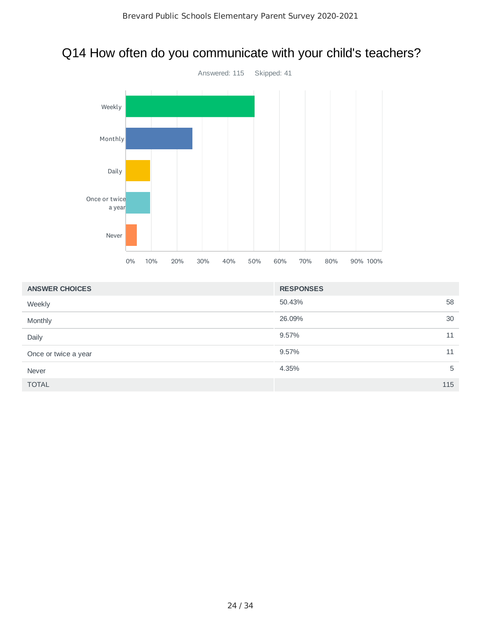# Q14 How often do you communicate with your child's teachers?



| <b>ANSWER CHOICES</b> | <b>RESPONSES</b> |     |
|-----------------------|------------------|-----|
| Weekly                | 50.43%           | 58  |
| Monthly               | 26.09%           | 30  |
| Daily                 | 9.57%            | 11  |
| Once or twice a year  | 9.57%            | 11  |
| Never                 | 4.35%            | 5   |
| <b>TOTAL</b>          |                  | 115 |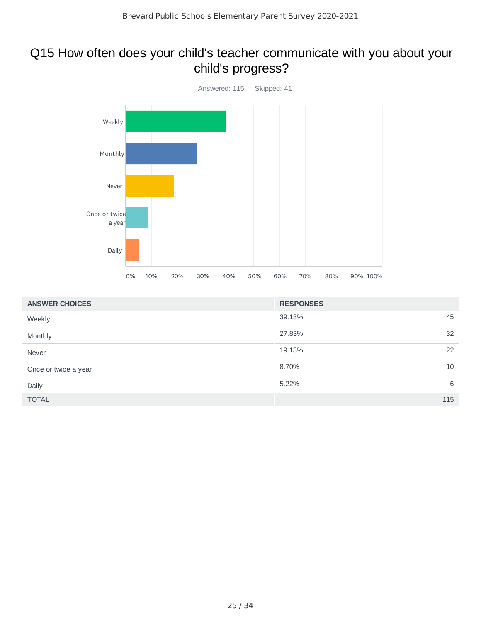### Q15 How often does your child's teacher communicate with you about your child's progress?



| <b>ANSWER CHOICES</b> | <b>RESPONSES</b> |     |
|-----------------------|------------------|-----|
| Weekly                | 39.13%           | 45  |
| Monthly               | 27.83%           | 32  |
| Never                 | 19.13%           | 22  |
| Once or twice a year  | 8.70%            | 10  |
| Daily                 | 5.22%            | 6   |
| <b>TOTAL</b>          |                  | 115 |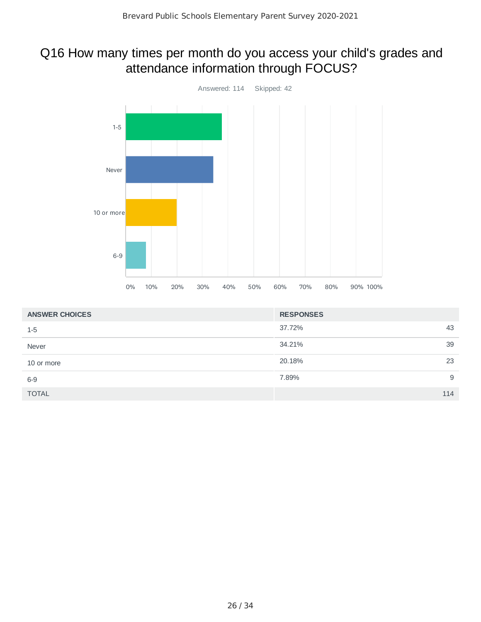### Q16 How many times per month do you access your child's grades and attendance information through FOCUS?



| <b>ANSWER CHOICES</b> | <b>RESPONSES</b> |     |
|-----------------------|------------------|-----|
| $1 - 5$               | 37.72%           | 43  |
| Never                 | 34.21%           | 39  |
| 10 or more            | 20.18%           | 23  |
| $6-9$                 | 7.89%            | 9   |
| <b>TOTAL</b>          |                  | 114 |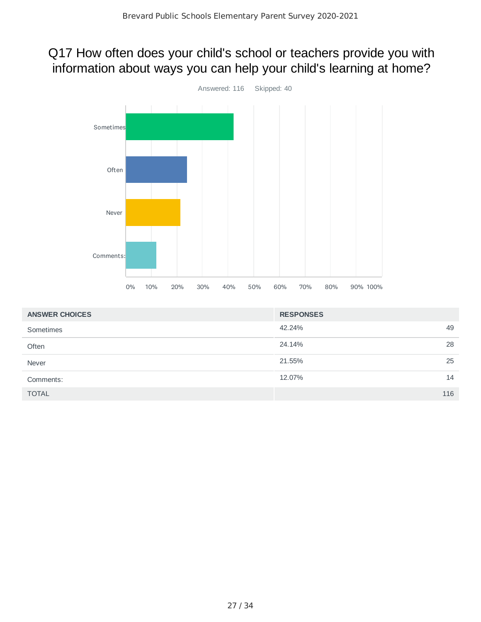### Q17 How often does your child's school or teachers provide you with information about ways you can help your child's learning at home?



| <b>ANSWER CHOICES</b> | <b>RESPONSES</b> |    |
|-----------------------|------------------|----|
| Sometimes             | 42.24%<br>49     |    |
| Often                 | 24.14%           | 28 |
| Never                 | 21.55%           | 25 |
| Comments:             | 12.07%           | 14 |
| <b>TOTAL</b>          | 116              |    |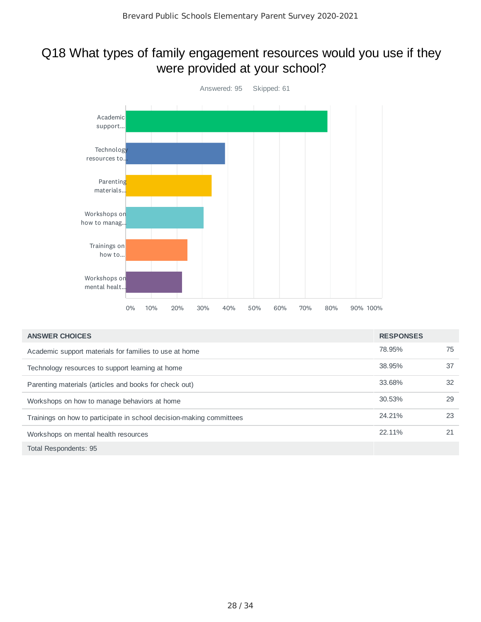### Q18 What types of family engagement resources would you use if they were provided at your school?



| <b>ANSWER CHOICES</b>                                                | <b>RESPONSES</b> |    |
|----------------------------------------------------------------------|------------------|----|
| Academic support materials for families to use at home               | 78.95%           | 75 |
| Technology resources to support learning at home                     | 38.95%           | 37 |
| Parenting materials (articles and books for check out)               | 33.68%           | 32 |
| Workshops on how to manage behaviors at home                         | 30.53%           | 29 |
| Trainings on how to participate in school decision-making committees | 24.21%           | 23 |
| Workshops on mental health resources                                 | 22.11%           | 21 |
| Total Respondents: 95                                                |                  |    |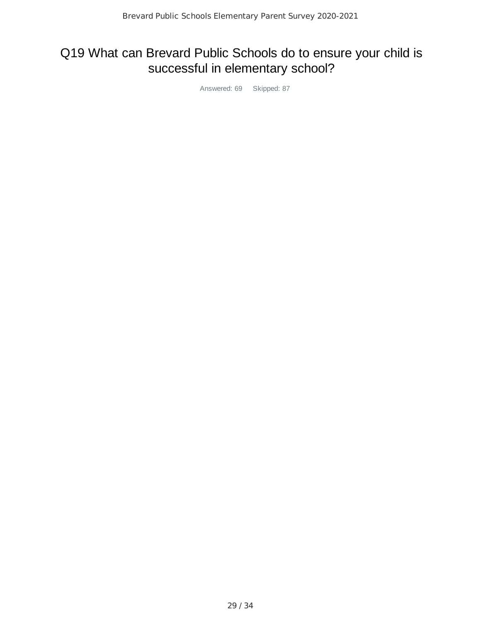# Q19 What can Brevard Public Schools do to ensure your child is successful in elementary school?

Answered: 69 Skipped: 87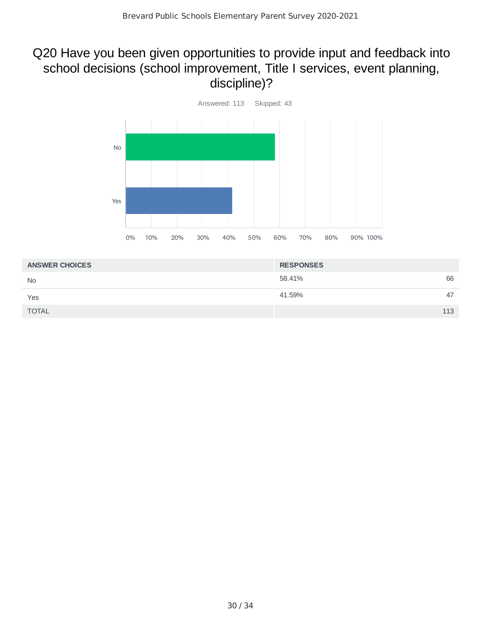### Q20 Have you been given opportunities to provide input and feedback into school decisions (school improvement, Title I services, event planning, discipline)?



| <b>ANSWER CHOICES</b> | <b>RESPONSES</b> |     |
|-----------------------|------------------|-----|
| <b>No</b>             | 58.41%           | 66  |
| Yes                   | 41.59%           | 47  |
| <b>TOTAL</b>          |                  | 113 |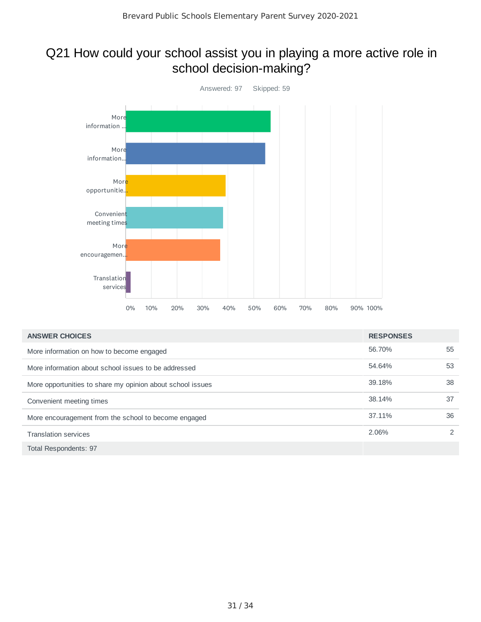### Q21 How could your school assist you in playing a more active role in school decision-making?



| <b>ANSWER CHOICES</b>                                      | <b>RESPONSES</b> |               |
|------------------------------------------------------------|------------------|---------------|
| More information on how to become engaged                  | 56.70%           | 55            |
| More information about school issues to be addressed       | 54.64%           | 53            |
| More opportunities to share my opinion about school issues | 39.18%           | 38            |
| Convenient meeting times                                   | 38.14%           | 37            |
| More encouragement from the school to become engaged       | 37.11%           | 36            |
| <b>Translation services</b>                                | 2.06%            | $\mathcal{P}$ |
| Total Respondents: 97                                      |                  |               |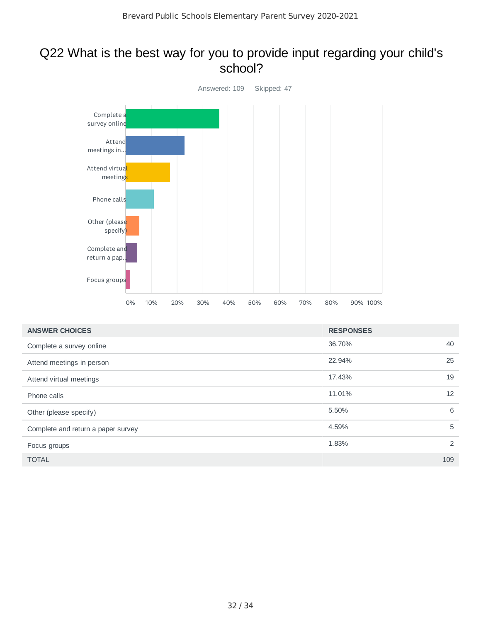#### Q22 What is the best way for you to provide input regarding your child's school?



| <b>ANSWER CHOICES</b>              | <b>RESPONSES</b> |     |
|------------------------------------|------------------|-----|
| Complete a survey online           | 36.70%           | 40  |
| Attend meetings in person          | 22.94%           | 25  |
| Attend virtual meetings            | 17.43%           | 19  |
| Phone calls                        | 11.01%           | 12  |
| Other (please specify)             | 5.50%            | 6   |
| Complete and return a paper survey | 4.59%            | 5   |
| Focus groups                       | 1.83%            | 2   |
| <b>TOTAL</b>                       |                  | 109 |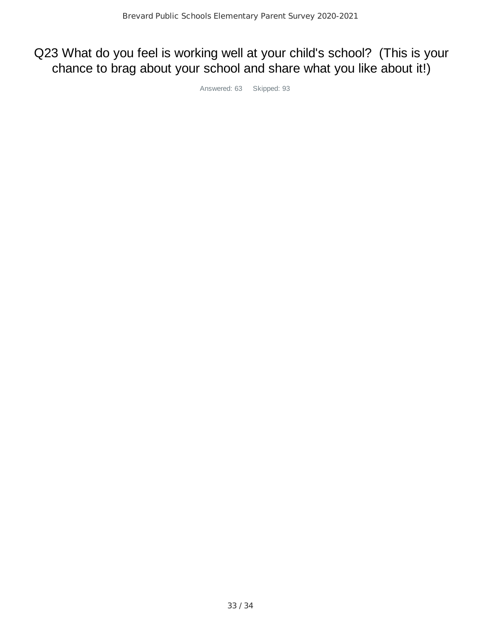# Q23 What do you feel is working well at your child's school? (This is your chance to brag about your school and share what you like about it!)

Answered: 63 Skipped: 93